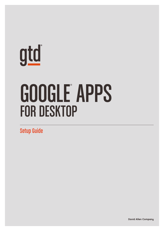# <u>gtd</u>

# GOOGLE APPS FOR DESKTOP

Setup Guide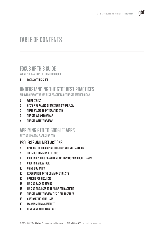

# TABLE OF CONTENTS

## FOCUS OF THIS GUIDE

WHAT YOU CAN EXPECT FROM THIS GUIDE

1 FOCUS OF THIS GUIDE

# UNDERSTANDING THE GTD® BEST PRACTICES

AN OVERVIEW OF THE KEY BEST PRACTICES OF THE GTD METHODOLOGY

- 2 WHAT IS GTD?
- 2 GTD'S FIVE PHASES OF MASTERING WORKFLOW
- 2 THREE STAGES TO INTEGRATING GTD
- 3 THE GTD WORKFLOW MAP
- 4 THE GTD WEEKLY REVIEW®

# APPLYING GTD TO GOOGLE® APPS

SETTING UP GOOGLE APPS FOR GTD

#### PROJECTS AND NEXT ACTIONS

- 5 OPTIONS FOR ORGANIZING PROJECTS AND NEXT ACTIONS
- 5 THE MOST COMMON GTD LISTS
- 6 CREATING PROJECTS AND NEXT ACTIONS LISTS IN GOOGLE TASKS
- 9 CREATING A NEW TASK
- 10 USING DUE DATES
- 10 **EXPLANATION OF THE COMMON GTD LISTS**
- 15 OPTIONS FOR PROJECTS
- 17 LINKING BACK TO EMAILS
- 17 **LINKING PROJECTS TO THEIR RELATED ACTIONS**
- 18 THE GTD WEEKLY REVIEW TIES IT ALL TOGETHER
- 18 CUSTOMIZING YOUR LISTS
- 19 MARKING ITEMS COMPLETE
- 19 REVIEWING YOUR TASK LISTS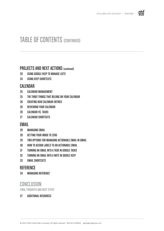

# TABLE OF CONTENTS (CONTINUED)

#### PROJECTS AND NEXT ACTIONS (continued)

- 20 USING GOOGLE KEEP TO MANAGE LISTS
- 24 USING KEEP SHORTCUTS

#### CALENDAR

- 25 CALENDAR MANAGEMENT
- 25 THE THREE THINGS THAT BELONG ON YOUR CALENDAR
- 26 CREATING NEW CALENDAR ENTRIES
- 26 REVIEWING YOUR CALENDAR
- 26 CALENDAR VS. TASKS
- 27 CALENDAR SHORTCUTS

#### EMAIL

- 28 MANAGING EMAIL
- 28 GETTING YOUR INBOX TO ZERO
- 29 TWO OPTIONS FOR MANAGING ACTIONABLE EMAIL IN GMAIL
- 30 HOW TO ASSIGN LABELS TO AN ACTIONABLE EMAIL
- 31 TURNING AN EMAIL INTO A TASK IN GOOGLE TASKS
- 32 TURNING AN EMAIL INTO A NOTE IN GOOGLE KEEP
- 33 EMAIL SHORTCUTS

#### **REFERENCE**

34 MANAGING REFERENCE

#### **CONCLUSION**

FINAL THOUGHTS AND NEXT STEPS

#### 37 ADDITIONAL RESOURCES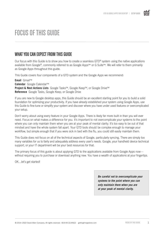

# FOCUS OF THIS GUIDE

#### WHAT YOU CAN EXPECT FROM THIS GUIDE

Our focus with this Guide is to show you how to create a seamless GTD® system using the native applications available from Google®, commonly referred to as Google Apps™ or G Suite™. We will refer to them primarily as Google Apps throughout this guide.

This Guide covers four components of a GTD system and the Google Apps we recommend:

**Email** Gmail™ **Calendar** Google Calendar™ **Project & Next Actions Lists** Google Tasks™, Google Keep™, or Google Drive™ **Reference** Google Tasks, Google Keep, or Google Drive

If you are new to Google desktop apps, this Guide should be an excellent starting point for you to build a solid foundation for optimizing your productivity. If you have already established your system using Google Apps, use this Guide to fine-tune or simplify your system and discover where you have under used features or overcomplicated your setup.

Don't worry about using every feature in your Google Apps. There is likely far more built in than you will ever need. Focus on what makes a difference for you. It's important to not overcomplicate your systems to the point where you can only maintain them when you are at your peak of mental clarity. It's too easy to be out of that mindset and have the whole system fall apart. Your GTD tools should be complex enough to manage your workflow, but simple enough that if you were sick in bed with the flu, you could still easily maintain them.

This Guide does not focus on all of the technical aspects of Google, particularly syncing. There are simply too many variables for us to fairly and adequately address every user's needs. Google, your handheld device technical support, or your IT department will be your best resources for that.

The primary focus of this guide is about applying GTD to the applications available from Google Apps now without requiring you to purchase or download anything new. You have a wealth of applications at your fingertips.

OK…let's get started!

*Be careful not to overcomplicate your systems to the point where you can only maintain them when you are at your peak of mental clarity.*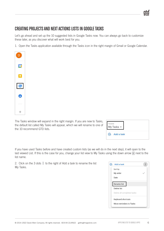# gtd

#### CREATING PROJECTS AND NEXT ACTIONS LISTS IN GOOGLE TASKS

Let's go ahead and set up the 10 suggested lists in Google Tasks now. You can always go back to customize these later, as you discover what will work best for you.

1. Open the Tasks application available through the Tasks icon in the right margin of Gmail or Google Calendar.



The Tasks window will expand in the right margin. If you are new to Tasks, the default list called My Tasks will appear, which we will rename to one of the 10 recommend GTD lists.

| TASKS<br>My Tasks $\star$ |  |  |
|---------------------------|--|--|
| $\sqrt{4}$ Add a task     |  |  |

If you have used Tasks before and have created custom lists (as we will do in the next step), it will open to the last viewed List. If this is the case for you, change your list view to My Tasks using the down arrow  $-$  next to the list name.

2. Click on the 3 dots to the right of Add a task to rename the list My Tasks.

| Add a task                 |  |
|----------------------------|--|
| Sort by                    |  |
| My order                   |  |
| Date                       |  |
| Rename list                |  |
| Delete list                |  |
| Delete all completed tasks |  |
| Keyboard shortcuts         |  |
| Move reminders to Tasks    |  |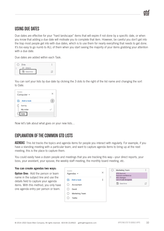## USING DUE DATES

Due dates are effective for your "hard landscape" items that will expire if not done by a specific date, or when you know that adding a due date will motivate you to complete that item. However, be careful you don't get into the trap most people get into with due dates, which is to use them for nearly everything that needs to get done. It's too easy to go numb to ALL of them when you start seeing the majority of your items grabbing your attention with a due date.

Due dates are added within each Task.

|   | Title     | $\frac{6}{10}$ |
|---|-----------|----------------|
| ä | Details   |                |
|   | Date/time |                |

You can sort your lists by due date by clicking the 3 dots to the right of the list name and changing the sort to Date.

| TASKS<br>Computer -   |  |
|-----------------------|--|
| Add a task<br>$C_{4}$ |  |
| Sort by               |  |
| My order              |  |
| Date                  |  |

Now let's talk about what goes on your new lists…

## EXPLANATION OF THE COMMON GTD LISTS

AGENDASThis list tracks the topics and agenda items for people you interact with regularly. For example, if you have a standing meeting with a particular team, and want to capture agenda items to bring up at the next meeting, this is the place to capture them.

You could easily have a dozen people and meetings that you are tracking this way—your direct reports, your boss, your assistant, your spouse, the weekly staff meeting, the monthly board meeting, etc.

#### **You can create agendas two ways:**

**Option One:** Add the person or team name in the subject line and use the details field to capture your agenda items. With this method, you only have one agenda entry per person or team.

| TASKS    | Agendas $\blacktriangleright$ | × |
|----------|-------------------------------|---|
|          | $\sqrt{4}$ Add a task         |   |
| ĭJ       | Accountant                    |   |
|          | David                         |   |
| $^{(+)}$ | Marketing Team                |   |
|          | Tasha                         |   |

| <b>Marketing Team</b>                                   |  |
|---------------------------------------------------------|--|
| <b>GTD Summit</b><br>Partners conference<br>SEO changes |  |
| List of web designers<br>Date/time                      |  |
|                                                         |  |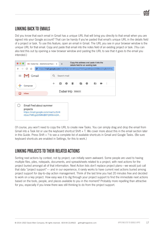## LINKING BACK TO EMAILS

Did you know that each email in Gmail has a unique URL that will bring you directly to that email when you are signed into your Google account? That can be handy if you've pasted that email's unique URL in the details field of a project or task. To use this feature, open an email in Gmail. The URL you see in your browser window is the unique URL for that email. Copy and paste that email into the notes field of an existing project or task. (You can also test this out by opening a new browser window and pasting the URL to see that it goes to the email you intended.)



∩ Email Fred about summer projects https://mail.google.com/mail/u/0/#i nbox/FMfcqzGllMNdBlFQWMvvx34...

Of course, you won't need to copy the URL to create new Tasks. You can simply drag and drop the email from Gmail into a Task list or use the keyboard shortcut Shift + T. We cover more about this in the email section later in this Guide. Press Shift + ? to see a complete list of available shortcuts in Gmail and Google Tasks. (Be sure keyboard shortcuts are enabled in Settings, for this to work.)

## LINKING PROJECTS TO THEIR RELATED ACTIONS

Sorting next actions by context, not by project, can initially seem awkward. Some people are used to having multiple files, piles, notepads, documents, and spreadsheets related to a project, with next actions for the project buried amongst all of that information. Next Action lists don't replace project plans—we would just call that data "project support"— and in our experience, it rarely works to have current next actions buried among project support for day-to-day action management. Think of the last time you had 20 minutes free and decided to work on a key project. How easy was it to dig through your project support to find the immediate next actions based on the tools, people, and places available to you in the moment? Probably more repelling than attractive for you, especially if you knew there was still thinking to do from the project support.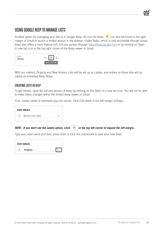#### USING GOOGLE KEEP TO MANAGE LISTS

Another option for managing your lists is in Google Keep. An icon for Keep  $\Box$  can also be found in the right margin of Gmail to launch a limited version in the sidebar. Unlike Tasks, which is only accessible through Gmail, Keep also offers a more feature-rich, full-size version through https://keep.google.com or by clicking on Open in new tab icon in the top right corner of the Keep viewer in Gmail.

| KEEP<br><b>Notes</b> |                 |
|----------------------|-----------------|
|                      | Open in new tab |

With our method, Projects and Next Actions Lists will be set up as Labels, and entries on those lists will be added as individual Keep Notes.

#### CREATING LISTS IN KEEP

To get started, open the full size version of Keep by clicking on the Open in a new tab icon. You will not be able to make these changes within the limited Keep viewer in Gmail.

First, create Labels to represent your list names. Click Edit labels in the left margin of Keep.

|          | <b>Edit labels</b> |  |  |
|----------|--------------------|--|--|
| $\times$ | Create new label   |  |  |

*NOTE:* If you don't see the Labels option, click  $\equiv$  in the top left corner to expand the left margin.

Type your label name and then press enter or click the checkmark to save your new label.

| <b>Edit labels</b> |  |
|--------------------|--|
| Projects           |  |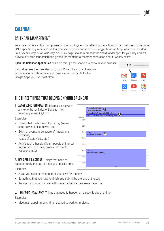## CALENDAR

## CALENDAR MANAGEMENT

Your calendar is a critical component in your GTD system for reflecting the action choices that need to be done ON a specific day versus those that you see on your context lists in Google Tasks or Keep, which can be done BY a specific day, or on ANY day. Your Day page should represent the "hard landscape" for your day and will provide a trusted foundation at a glance for moment-to-moment orientation about "what's next?"

**Open the Calendar Application** available through the shortcut window in your browser:

If you don't see the Calendar icon, click More. This shortcut window is where you can also create and move around shortcuts for the Google Apps you use most often.



## THE THREE THINGS THAT BELONG ON YOUR CALENDAR

1. DAY-SPECIFIC INFORMATION Information you want to know or be reminded of that day—not necessarily something to do.

Examples:

- Things that might disrupt your day (server shut-downs, office moves, etc.)
- External events to be aware of (marathons, elections,

heads of state visits, etc.)

• Activities of other significant people of interest to you (kids, spouses, bosses, assistants, vacations, etc.)

2. DAY-SPECIFIC ACTIONS Things that need to happen during the day, but not at a specific time.

Examples:

- A call you have to make before you leave for the day
- Something that you have to finish and submit by the end of the day
- An agenda you must cover with someone before they leave the office

**3. TIME-SPECIFIC ACTIONS** Things that need to happen on a specific day and time.

Examples:

• Meetings, appointments, time blocked to work on projects

|               | Annabell's birthday                                        |  |
|---------------|------------------------------------------------------------|--|
|               | <b>DA</b> in Amsterdam                                     |  |
|               | Finish Emma's school field trip forms                      |  |
|               | Send Luke final draft of budget by 5pm                     |  |
| <b>GMT-08</b> |                                                            |  |
| 7am           |                                                            |  |
| 8am           |                                                            |  |
|               |                                                            |  |
|               | $9am \mid 9 - 10$<br>$\bf{G}$<br>Meeting with Mario<br>$=$ |  |
| 10am          |                                                            |  |
|               |                                                            |  |
|               |                                                            |  |
| 11am          |                                                            |  |
|               |                                                            |  |
|               | $12pm$ $12p - 3p$                                          |  |
|               | <b>Branding Team Meeting</b>                               |  |
|               |                                                            |  |
| 1pm           |                                                            |  |
|               |                                                            |  |
| 2pm           |                                                            |  |
|               |                                                            |  |
|               | =                                                          |  |
|               |                                                            |  |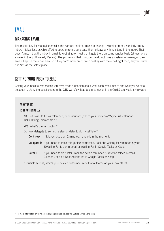## EMAIL

#### MANAGING EMAIL

The master key for managing email is the hardest habit for many to change—working from a regularly empty inbox. It takes less psychic effort to operate from a zero base than to leave anything sitting in the inbox. That doesn't mean that the inbox in email is kept at zero—just that it gets there on some regular basis (at least once a week in the GTD Weekly Review). The problem is that most people do not have a system for managing their emails beyond the inbox area, so if they can't move on or finish dealing with the email right then, they will leave it in "in" as the safest place.

#### GETTING YOUR INBOX TO ZERO

Getting your inbox to zero means you have made a decision about what each email means and what you want to do about it. Using the questions from the GTD Workflow Map (pictured earlier in the Guide) you would simply ask:

#### WHAT IS IT?

#### IS IT ACTIONABLE?

**NO** Is it trash, to file as reference, or to incubate (add to your Someday/Maybe list, calendar, Tickler/Bring Forward file<sup>3</sup>)?

**YES** What's the next action?

Do now, delegate to someone else, or defer to do myself later?

**Do it now** If it takes less than 2 minutes, handle it in the moment.

- **Delegate it** If you need to track this getting completed, track the waiting for reminder in your @Waiting For folder in email or Waiting For in Google Tasks or Keep.
- **Defer it** If you need to do it later, track the action reminder in @Action folder in email, Calendar, or on a Next Actions list in Google Tasks or Keep.

If multiple actions, what's your desired outcome? Track that outcome on your Projects list.

<sup>3</sup> For more information on using a Tickler/Bring Forward file, see the *Getting Things Done* book.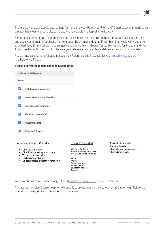There are a variety of Google applications for managing your Reference. From a GTD perspective, it needs to be a place that is easily accessible, sort-able, and retrievable in a logical, intuitive way.

Some people prefer to put all of their lists in Google Tasks, and not split them out between Tasks for projects and actions and another application for reference. By all means do that, if you think that would work better for your workflow. Simply set up these suggested reference lists in Google Tasks, like you did for Projects and Next Actions earlier in this section. Just be sure your reference lists are clearly delineated from your action lists.

People have also found it valuable to keep their Reference lists in Google Drive (https://drive.google.com) in a Reference Folder.

|                 | My Drive > Reference               |  |
|-----------------|------------------------------------|--|
| Name $\uparrow$ |                                    |  |
| E               | <b>Birthdays/Anniversaries</b>     |  |
| ≡               | <b>House Maintenance Checklist</b> |  |
| E               | Next time visiting mom             |  |
| $\equiv$        | Places to donate stuff             |  |
| 三               | <b>Travel Checklist</b>            |  |
|                 | When in Chicago                    |  |

#### **Example of reference lists set up in Google Drive:**

**House Maintenance Checklist** 

- Change air filters
- Check for leaking sprinklers
- Trim back lavender
- Fertilize fruit trees
- Check smoke detector batteries

#### **Travel Checklist**

Check in for flight Forward office phone to cell Set Out of Office on email

PACK: Laptop Travel charger Phone charger **Bluetooth headset** Passport

Places to donate stuff **Humane Society Thrift Store on Montgomery** Thrift Store on Oak

You may also want to consider Google Keep (https://keep.google.com) for your reference.

An easy way to setup Google Keep for reference is to create your primary categories as Labels (e.g., Reference, Checklists, Travel, etc.) and the Notes could store lists.